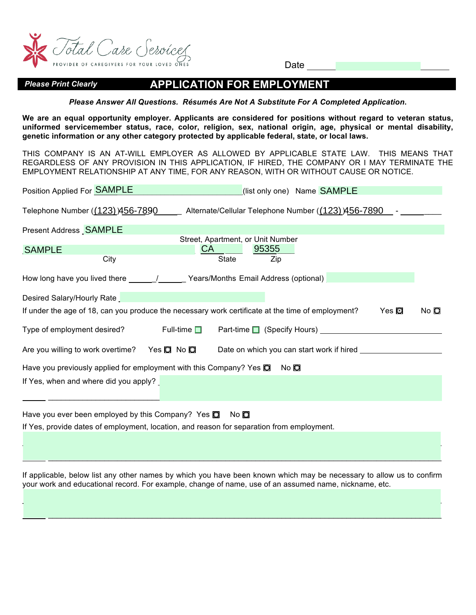

Date

## *Please Print Clearly* **APPLICATION FOR EMPLOYMENT**

*Please Answer All Questions. Résumés Are Not A Substitute For A Completed Application***.** 

**We are an equal opportunity employer. Applicants are considered for positions without regard to veteran status, uniformed servicemember status, race, color, religion, sex, national origin, age, physical or mental disability, genetic information or any other category protected by applicable federal, state, or local laws.**

THIS COMPANY IS AN AT-WILL EMPLOYER AS ALLOWED BY APPLICABLE STATE LAW. THIS MEANS THAT REGARDLESS OF ANY PROVISION IN THIS APPLICATION, IF HIRED, THE COMPANY OR I MAY TERMINATE THE EMPLOYMENT RELATIONSHIP AT ANY TIME, FOR ANY REASON, WITH OR WITHOUT CAUSE OR NOTICE.

| Position Applied For <b>SAMPLE</b>                                         | (list only one) Name <b>SAMPLE</b>                                                                                   |      |  |  |  |  |  |
|----------------------------------------------------------------------------|----------------------------------------------------------------------------------------------------------------------|------|--|--|--|--|--|
| Telephone Number ((123) 456-7890                                           | Alternate/Cellular Telephone Number ((123) 456-7890                                                                  |      |  |  |  |  |  |
| Present Address <b>SAMPLE</b>                                              |                                                                                                                      |      |  |  |  |  |  |
|                                                                            | Street, Apartment, or Unit Number                                                                                    |      |  |  |  |  |  |
| <b>SAMPLE</b>                                                              | CA.<br>95355                                                                                                         |      |  |  |  |  |  |
| City                                                                       | <b>State</b><br>Zip                                                                                                  |      |  |  |  |  |  |
|                                                                            | How long have you lived there ______/_______Years/Months Email Address (optional)                                    |      |  |  |  |  |  |
| Desired Salary/Hourly Rate                                                 |                                                                                                                      |      |  |  |  |  |  |
|                                                                            | If under the age of 18, can you produce the necessary work certificate at the time of employment?<br>Yes $\mathbf 0$ | No O |  |  |  |  |  |
| Type of employment desired?                                                | Full-time $\square$<br>Part-time ■ (Specify Hours)                                                                   |      |  |  |  |  |  |
| Are you willing to work overtime? Yes ◘ No ◘                               | Date on which you can start work if hired                                                                            |      |  |  |  |  |  |
| Have you previously applied for employment with this Company? Yes <b>O</b> | No O                                                                                                                 |      |  |  |  |  |  |
| If Yes, when and where did you apply?                                      |                                                                                                                      |      |  |  |  |  |  |
|                                                                            |                                                                                                                      |      |  |  |  |  |  |

Have you ever been employed by this Company? Yes  $\Box$  No  $\Box$ If Yes, provide dates of employment, location, and reason for separation from employment.

If applicable, below list any other names by which you have been known which may be necessary to allow us to confirm your work and educational record. For example, change of name, use of an assumed name, nickname, etc.

 $\mathcal{L}_\mathcal{L} = \mathcal{L}_\mathcal{L} = \mathcal{L}_\mathcal{L} = \mathcal{L}_\mathcal{L} = \mathcal{L}_\mathcal{L} = \mathcal{L}_\mathcal{L} = \mathcal{L}_\mathcal{L} = \mathcal{L}_\mathcal{L} = \mathcal{L}_\mathcal{L} = \mathcal{L}_\mathcal{L} = \mathcal{L}_\mathcal{L} = \mathcal{L}_\mathcal{L} = \mathcal{L}_\mathcal{L} = \mathcal{L}_\mathcal{L} = \mathcal{L}_\mathcal{L} = \mathcal{L}_\mathcal{L} = \mathcal{L}_\mathcal{L}$  $\mathcal{L}_\mathcal{L} = \{ \mathcal{L}_\mathcal{L} = \{ \mathcal{L}_\mathcal{L} = \{ \mathcal{L}_\mathcal{L} = \{ \mathcal{L}_\mathcal{L} = \{ \mathcal{L}_\mathcal{L} = \{ \mathcal{L}_\mathcal{L} = \{ \mathcal{L}_\mathcal{L} = \{ \mathcal{L}_\mathcal{L} = \{ \mathcal{L}_\mathcal{L} = \{ \mathcal{L}_\mathcal{L} = \{ \mathcal{L}_\mathcal{L} = \{ \mathcal{L}_\mathcal{L} = \{ \mathcal{L}_\mathcal{L} = \{ \mathcal{L}_\mathcal{$ 

 $\mathcal{L}_\mathcal{L} = \mathcal{L}_\mathcal{L} = \mathcal{L}_\mathcal{L} = \mathcal{L}_\mathcal{L} = \mathcal{L}_\mathcal{L} = \mathcal{L}_\mathcal{L} = \mathcal{L}_\mathcal{L} = \mathcal{L}_\mathcal{L} = \mathcal{L}_\mathcal{L} = \mathcal{L}_\mathcal{L} = \mathcal{L}_\mathcal{L} = \mathcal{L}_\mathcal{L} = \mathcal{L}_\mathcal{L} = \mathcal{L}_\mathcal{L} = \mathcal{L}_\mathcal{L} = \mathcal{L}_\mathcal{L} = \mathcal{L}_\mathcal{L}$  $\mathcal{L}_\mathcal{L} = \{ \mathcal{L}_\mathcal{L} = \{ \mathcal{L}_\mathcal{L} = \{ \mathcal{L}_\mathcal{L} = \{ \mathcal{L}_\mathcal{L} = \{ \mathcal{L}_\mathcal{L} = \{ \mathcal{L}_\mathcal{L} = \{ \mathcal{L}_\mathcal{L} = \{ \mathcal{L}_\mathcal{L} = \{ \mathcal{L}_\mathcal{L} = \{ \mathcal{L}_\mathcal{L} = \{ \mathcal{L}_\mathcal{L} = \{ \mathcal{L}_\mathcal{L} = \{ \mathcal{L}_\mathcal{L} = \{ \mathcal{L}_\mathcal{$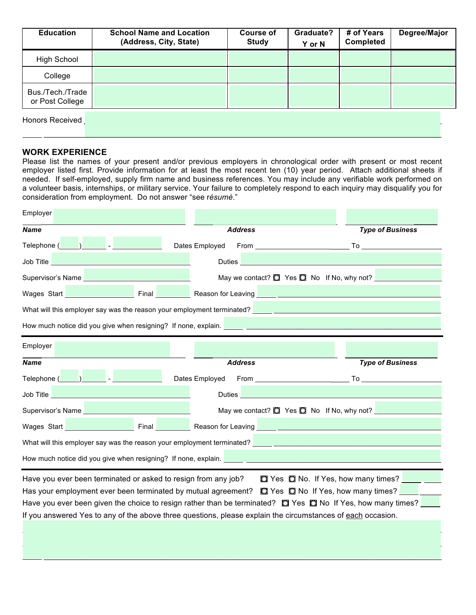| <b>Education</b>                    | <b>School Name and Location</b><br>(Address, City, State) | <b>Course of</b><br><b>Study</b> | Graduate?<br>Y or N | # of Years<br><b>Completed</b> | Degree/Major |
|-------------------------------------|-----------------------------------------------------------|----------------------------------|---------------------|--------------------------------|--------------|
| <b>High School</b>                  |                                                           |                                  |                     |                                |              |
| College                             |                                                           |                                  |                     |                                |              |
| Bus./Tech./Trade<br>or Post College |                                                           |                                  |                     |                                |              |
| Honors Received                     |                                                           |                                  |                     |                                |              |

\_\_\_\_\_\_\_\_\_\_\_\_\_\_\_\_\_\_\_\_\_\_\_\_\_\_\_\_\_\_\_\_\_\_\_\_\_\_\_\_\_\_\_\_\_\_\_\_\_\_\_\_\_\_\_\_\_\_\_\_\_\_\_\_\_\_\_\_\_\_\_\_\_\_\_\_\_\_\_\_\_\_\_\_\_\_\_\_\_\_\_\_

#### **WORK EXPERIENCE**

Please list the names of your present and/or previous employers in chronological order with present or most recent employer listed first. Provide information for at least the most recent ten (10) year period. Attach additional sheets if needed. If self-employed, supply firm name and business references. You may include any verifiable work performed on a volunteer basis, internships, or military service. Your failure to completely respond to each inquiry may disqualify you for consideration from employment. Do not answer "see r*ésumé*."

| Employer                                                                                                                                                                                                                                                                                                                                                                                                                                                    |                                                      |                                                                                                                                                                                                                                |  |  |  |  |
|-------------------------------------------------------------------------------------------------------------------------------------------------------------------------------------------------------------------------------------------------------------------------------------------------------------------------------------------------------------------------------------------------------------------------------------------------------------|------------------------------------------------------|--------------------------------------------------------------------------------------------------------------------------------------------------------------------------------------------------------------------------------|--|--|--|--|
| <b>Name</b>                                                                                                                                                                                                                                                                                                                                                                                                                                                 | <b>Address</b>                                       | <b>Type of Business</b>                                                                                                                                                                                                        |  |  |  |  |
| Telephone (Company of the Company of the Company of the Company of the Company of the Company of the Company of the Company of the Company of the Company of the Company of the Company of the Company of the Company of the C                                                                                                                                                                                                                              | Dates Employed<br>$From  \fbox{197}$                 | To the contract of the contract of the contract of the contract of the contract of the contract of the contract of the contract of the contract of the contract of the contract of the contract of the contract of the contrac |  |  |  |  |
| Job Title <u>Design and the series of the series of the series of the series of the series of the series of the series of the series of the series of the series of the series of the series of the series of the series of the </u>                                                                                                                                                                                                                        | Duties <u>New York Barner</u>                        |                                                                                                                                                                                                                                |  |  |  |  |
| Supervisor's Name <b>Supervisor's Name</b>                                                                                                                                                                                                                                                                                                                                                                                                                  | May we contact? $\Box$ Yes $\Box$ No If No, why not? |                                                                                                                                                                                                                                |  |  |  |  |
| Mages Start <b>No. 2018</b> Final <b>Contract Contract Contract Contract Contract Contract Contract Contract Contract Contract Contract Contract Contract Contract Contract Contract Contract Contract Contract Contract Contract Con</b>                                                                                                                                                                                                                   |                                                      |                                                                                                                                                                                                                                |  |  |  |  |
| What will this employer say was the reason your employment terminated? [162] [162] [162] [162] [162] [162] [162] [162] [162] [162] [162] [162] [162] [162] [162] [162] [162] [162] [162] [162] [162] [162] [162] [162] [162] [                                                                                                                                                                                                                              |                                                      |                                                                                                                                                                                                                                |  |  |  |  |
| How much notice did you give when resigning? If none, explain. <u>New your community and the second</u>                                                                                                                                                                                                                                                                                                                                                     |                                                      |                                                                                                                                                                                                                                |  |  |  |  |
| Employer                                                                                                                                                                                                                                                                                                                                                                                                                                                    |                                                      |                                                                                                                                                                                                                                |  |  |  |  |
| <b>Name</b>                                                                                                                                                                                                                                                                                                                                                                                                                                                 | <b>Address</b>                                       | <b>Type of Business</b>                                                                                                                                                                                                        |  |  |  |  |
| Telephone ( ) and -                                                                                                                                                                                                                                                                                                                                                                                                                                         |                                                      |                                                                                                                                                                                                                                |  |  |  |  |
| <b>Job Title And American Street Advisory Property</b>                                                                                                                                                                                                                                                                                                                                                                                                      | Duties <b>Duties</b>                                 |                                                                                                                                                                                                                                |  |  |  |  |
| Supervisor's Name <b>Contract Contract of Contract Contract Contract Contract Contract Contract Contract Contract Contract Contract Contract Contract Contract Contract Contract Contract Contract Contract Contract Contract Co</b>                                                                                                                                                                                                                        | May we contact? $\Box$ Yes $\Box$ No If No, why not? |                                                                                                                                                                                                                                |  |  |  |  |
| Wages Start <u>New York: New York: New York: New York: New York: New York: New York: New York: New York: New York: New York: New York: New York: New York: New York: New York: New York: New York: New York: New York: New York:</u>                                                                                                                                                                                                                        |                                                      |                                                                                                                                                                                                                                |  |  |  |  |
| What will this employer say was the reason your employment terminated?                                                                                                                                                                                                                                                                                                                                                                                      |                                                      |                                                                                                                                                                                                                                |  |  |  |  |
| How much notice did you give when resigning? If none, explain.                                                                                                                                                                                                                                                                                                                                                                                              |                                                      |                                                                                                                                                                                                                                |  |  |  |  |
| Have you ever been terminated or asked to resign from any job?<br>Q Yes Q No. If Yes, how many times?<br>Has your employment ever been terminated by mutual agreement? $\Box$ Yes $\Box$ No If Yes, how many times?<br>Have you ever been given the choice to resign rather than be terminated? $\Box$ Yes $\Box$ No If Yes, how many times?<br>If you answered Yes to any of the above three questions, please explain the circumstances of each occasion. |                                                      |                                                                                                                                                                                                                                |  |  |  |  |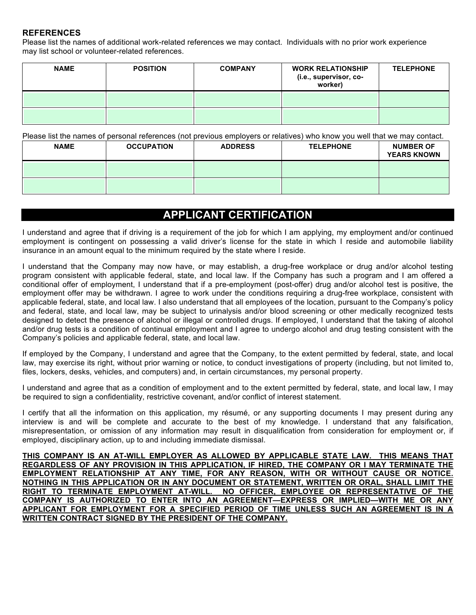### **REFERENCES**

Please list the names of additional work-related references we may contact. Individuals with no prior work experience may list school or volunteer-related references.

| <b>NAME</b> | <b>POSITION</b><br><b>COMPANY</b> |  | <b>WORK RELATIONSHIP</b><br>(i.e., supervisor, co-<br>worker) | <b>TELEPHONE</b> |
|-------------|-----------------------------------|--|---------------------------------------------------------------|------------------|
|             |                                   |  |                                                               |                  |
|             |                                   |  |                                                               |                  |

Please list the names of personal references (not previous employers or relatives) who know you well that we may contact.

| <b>NAME</b> | <b>OCCUPATION</b> | <b>ADDRESS</b> | <b>TELEPHONE</b> | <b>NUMBER OF</b><br><b>YEARS KNOWN</b> |
|-------------|-------------------|----------------|------------------|----------------------------------------|
|             |                   |                |                  |                                        |
|             |                   |                |                  |                                        |

# **APPLICANT CERTIFICATION**

I understand and agree that if driving is a requirement of the job for which I am applying, my employment and/or continued employment is contingent on possessing a valid driver's license for the state in which I reside and automobile liability insurance in an amount equal to the minimum required by the state where I reside.

I understand that the Company may now have, or may establish, a drug-free workplace or drug and/or alcohol testing program consistent with applicable federal, state, and local law. If the Company has such a program and I am offered a conditional offer of employment, I understand that if a pre-employment (post-offer) drug and/or alcohol test is positive, the employment offer may be withdrawn. I agree to work under the conditions requiring a drug-free workplace, consistent with applicable federal, state, and local law. I also understand that all employees of the location, pursuant to the Company's policy and federal, state, and local law, may be subject to urinalysis and/or blood screening or other medically recognized tests designed to detect the presence of alcohol or illegal or controlled drugs. If employed, I understand that the taking of alcohol and/or drug tests is a condition of continual employment and I agree to undergo alcohol and drug testing consistent with the Company's policies and applicable federal, state, and local law.

If employed by the Company, I understand and agree that the Company, to the extent permitted by federal, state, and local law, may exercise its right, without prior warning or notice, to conduct investigations of property (including, but not limited to, files, lockers, desks, vehicles, and computers) and, in certain circumstances, my personal property.

I understand and agree that as a condition of employment and to the extent permitted by federal, state, and local law, I may be required to sign a confidentiality, restrictive covenant, and/or conflict of interest statement.

I certify that all the information on this application, my résumé, or any supporting documents I may present during any interview is and will be complete and accurate to the best of my knowledge. I understand that any falsification, misrepresentation, or omission of any information may result in disqualification from consideration for employment or, if employed, disciplinary action, up to and including immediate dismissal.

**THIS COMPANY IS AN AT-WILL EMPLOYER AS ALLOWED BY APPLICABLE STATE LAW. THIS MEANS THAT REGARDLESS OF ANY PROVISION IN THIS APPLICATION, IF HIRED, THE COMPANY OR I MAY TERMINATE THE EMPLOYMENT RELATIONSHIP AT ANY TIME, FOR ANY REASON, WITH OR WITHOUT CAUSE OR NOTICE. NOTHING IN THIS APPLICATION OR IN ANY DOCUMENT OR STATEMENT, WRITTEN OR ORAL, SHALL LIMIT THE RIGHT TO OFFICER, EMPLOYEE OR REPRESENTATIVE OF THE COMPANY IS AUTHORIZED TO ENTER INTO AN AGREEMENT—EXPRESS OR IMPLIED—WITH ME OR ANY APPLICANT FOR EMPLOYMENT FOR A SPECIFIED PERIOD OF TIME UNLESS SUCH AN AGREEMENT IS IN A WRITTEN CONTRACT SIGNED BY THE PRESIDENT OF THE COMPANY.**